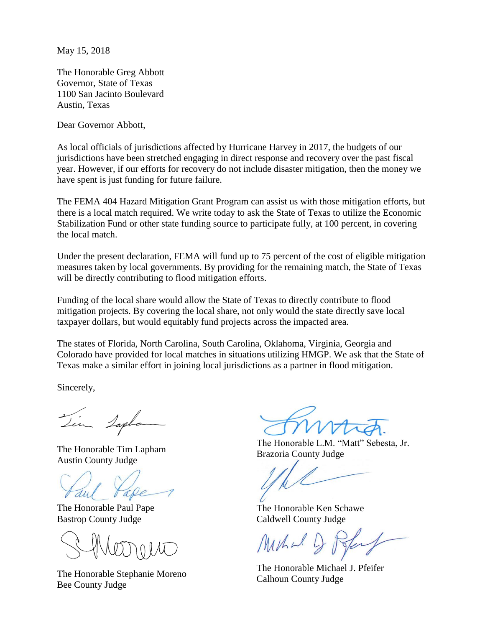May 15, 2018

The Honorable Greg Abbott Governor, State of Texas 1100 San Jacinto Boulevard Austin, Texas

Dear Governor Abbott,

As local officials of jurisdictions affected by Hurricane Harvey in 2017, the budgets of our jurisdictions have been stretched engaging in direct response and recovery over the past fiscal year. However, if our efforts for recovery do not include disaster mitigation, then the money we have spent is just funding for future failure.

The FEMA 404 Hazard Mitigation Grant Program can assist us with those mitigation efforts, but there is a local match required. We write today to ask the State of Texas to utilize the Economic Stabilization Fund or other state funding source to participate fully, at 100 percent, in covering the local match.

Under the present declaration, FEMA will fund up to 75 percent of the cost of eligible mitigation measures taken by local governments. By providing for the remaining match, the State of Texas will be directly contributing to flood mitigation efforts.

Funding of the local share would allow the State of Texas to directly contribute to flood mitigation projects. By covering the local share, not only would the state directly save local taxpayer dollars, but would equitably fund projects across the impacted area.

The states of Florida, North Carolina, South Carolina, Oklahoma, Virginia, Georgia and Colorado have provided for local matches in situations utilizing HMGP. We ask that the State of Texas make a similar effort in joining local jurisdictions as a partner in flood mitigation.

Sincerely,

Zin Laple

The Honorable Tim Lapham Austin County Judge

The Honorable Paul Pape Bastrop County Judge

The Honorable Stephanie Moreno Bee County Judge

The Honorable L.M. "Matt" Sebesta, Jr. Brazoria County Judge

The Honorable Ken Schawe Caldwell County Judge

Muhal D

The Honorable Michael J. Pfeifer Calhoun County Judge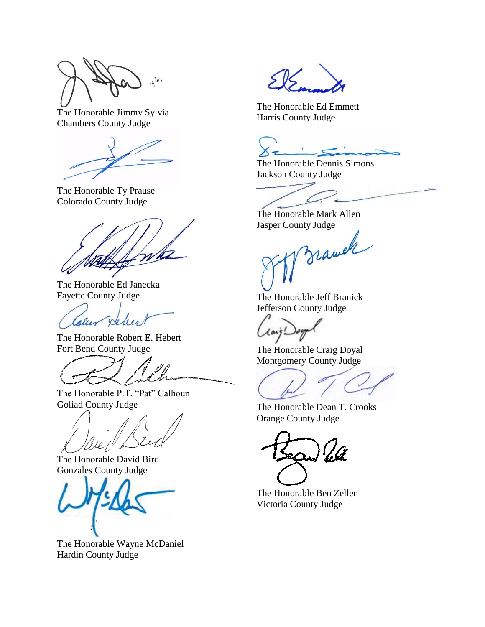$\mathcal{A}^{\mathcal{A}}$ 

The Honorable Jimmy Sylvia Chambers County Judge

The Honorable Ty Prause Colorado County Judge

The Honorable Ed Janecka Fayette County Judge

alu delen

The Honorable Robert E. Hebert Fort Bend County Judge

The Honorable P.T. "Pat" Calhoun Goliad County Judge

The Honorable David Bird Gonzales County Judge

The Honorable Wayne McDaniel Hardin County Judge

The Honorable Ed Emmett Harris County Judge

 $\mathbf{t}$  $\epsilon$ 

The Honorable Dennis Simons Jackson County Judge

The Honorable Mark Allen

Jasper County Judge

The Honorable Jeff Branick Jefferson County Judge

The Honorable Craig Doyal Montgomery County Judge

The Honorable Dean T. Crooks Orange County Judge

The Honorable Ben Zeller Victoria County Judge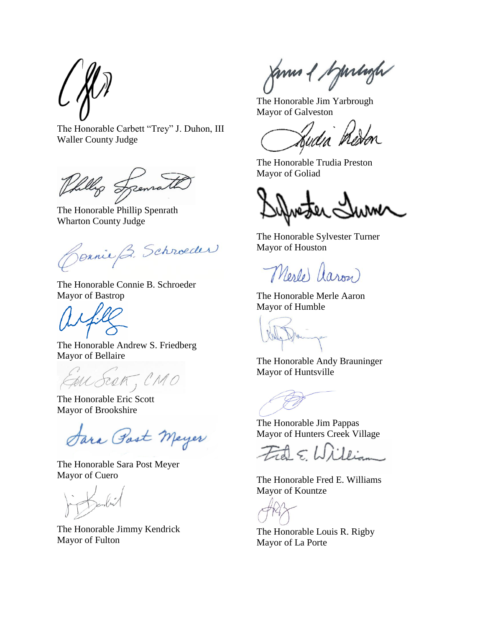The Honorable Carbett "Trey" J. Duhon, III Waller County Judge

fillig Szenra

The Honorable Phillip Spenrath Wharton County Judge

Jennie B. Schroeder

The Honorable Connie B. Schroeder Mayor of Bastrop

The Honorable Andrew S. Friedberg Mayor of Bellaire

au Scot, CMO

The Honorable Eric Scott Mayor of Brookshire

Jara Post Meyer

The Honorable Sara Post Meyer Mayor of Cuero

The Honorable Jimmy Kendrick Mayor of Fulton

Janua & bymlagh

The Honorable Jim Yarbrough Mayor of Galveston

Ludia<sup>r</sup> hedor

The Honorable Trudia Preston Mayor of Goliad

The Honorable Sylvester Turner Mayor of Houston

Merle aron

The Honorable Merle Aaron Mayor of Humble

The Honorable Andy Brauninger Mayor of Huntsville

The Honorable Jim Pappas Mayor of Hunters Creek Village

 $Ed\in W$ 

The Honorable Fred E. Williams Mayor of Kountze

The Honorable Louis R. Rigby Mayor of La Porte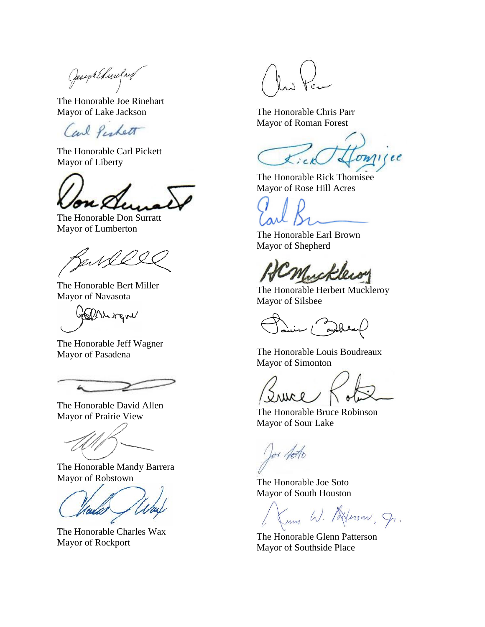Joseph Elinefred

The Honorable Joe Rinehart Mayor of Lake Jackson

Carl Perhett

The Honorable Carl Pickett Mayor of Liberty

The Honorable Don Surratt Mayor of Lumberton

2, s S L

The Honorable Bert Miller Mayor of Navasota

Gebburgne

The Honorable Jeff Wagner Mayor of Pasadena

h

The Honorable David Allen Mayor of Prairie View

The Honorable Mandy Barrera Mayor of Robstown

The Honorable Charles Wax Mayor of Rockport

The Honorable Chris Parr Mayor of Roman Forest

 $OM1ee$  $\chi$  ;  $ck$ 

The Honorable Rick Thomisee Mayor of Rose Hill Acres

The Honorable Earl Brown Mayor of Shepherd

Nucke

The Honorable Herbert Muckleroy Mayor of Silsbee

- { anghe

The Honorable Louis Boudreaux Mayor of Simonton

ervel

The Honorable Bruce Robinson Mayor of Sour Lake

Jos Acto

The Honorable Joe Soto Mayor of South Houston

Kum W. Aleson, g.

The Honorable Glenn Patterson Mayor of Southside Place